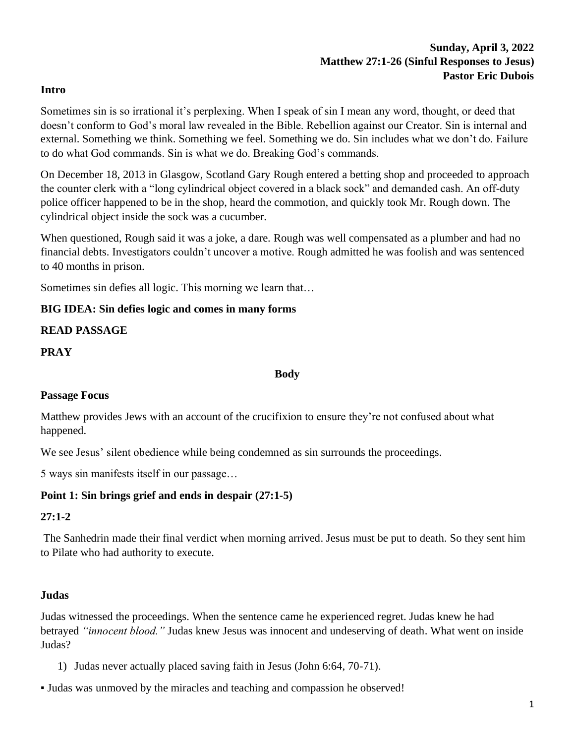#### **Intro**

Sometimes sin is so irrational it's perplexing. When I speak of sin I mean any word, thought, or deed that doesn't conform to God's moral law revealed in the Bible. Rebellion against our Creator. Sin is internal and external. Something we think. Something we feel. Something we do. Sin includes what we don't do. Failure to do what God commands. Sin is what we do. Breaking God's commands.

On December 18, 2013 in Glasgow, Scotland Gary Rough entered a betting shop and proceeded to approach the counter clerk with a "long cylindrical object covered in a black sock" and demanded cash. An off-duty police officer happened to be in the shop, heard the commotion, and quickly took Mr. Rough down. The cylindrical object inside the sock was a cucumber.

When questioned, Rough said it was a joke, a dare. Rough was well compensated as a plumber and had no financial debts. Investigators couldn't uncover a motive. Rough admitted he was foolish and was sentenced to 40 months in prison.

Sometimes sin defies all logic. This morning we learn that…

### **BIG IDEA: Sin defies logic and comes in many forms**

### **READ PASSAGE**

### **PRAY**

#### **Body**

### **Passage Focus**

Matthew provides Jews with an account of the crucifixion to ensure they're not confused about what happened.

We see Jesus' silent obedience while being condemned as sin surrounds the proceedings.

5 ways sin manifests itself in our passage…

### **Point 1: Sin brings grief and ends in despair (27:1-5)**

### **27:1-2**

The Sanhedrin made their final verdict when morning arrived. Jesus must be put to death. So they sent him to Pilate who had authority to execute.

### **Judas**

Judas witnessed the proceedings. When the sentence came he experienced regret. Judas knew he had betrayed *"innocent blood."* Judas knew Jesus was innocent and undeserving of death. What went on inside Judas?

- 1) Judas never actually placed saving faith in Jesus (John 6:64, 70-71).
- Judas was unmoved by the miracles and teaching and compassion he observed!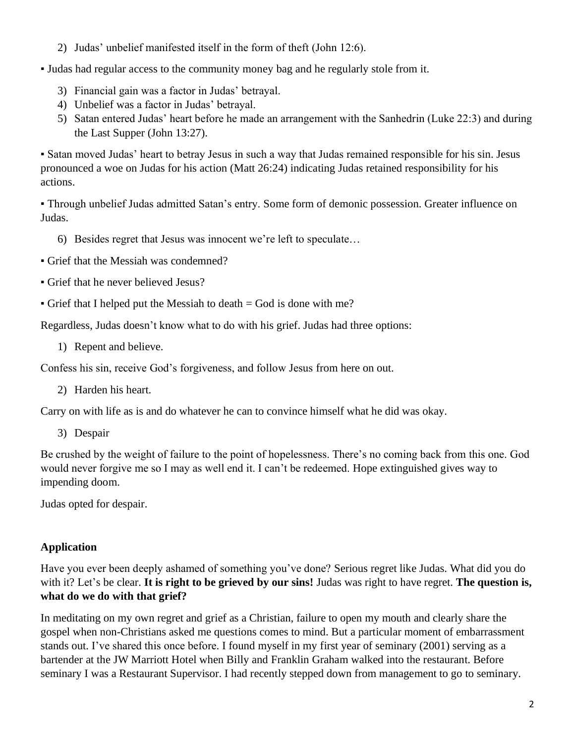2) Judas' unbelief manifested itself in the form of theft (John 12:6).

▪ Judas had regular access to the community money bag and he regularly stole from it.

- 3) Financial gain was a factor in Judas' betrayal.
- 4) Unbelief was a factor in Judas' betrayal.
- 5) Satan entered Judas' heart before he made an arrangement with the Sanhedrin (Luke 22:3) and during the Last Supper (John 13:27).

▪ Satan moved Judas' heart to betray Jesus in such a way that Judas remained responsible for his sin. Jesus pronounced a woe on Judas for his action (Matt 26:24) indicating Judas retained responsibility for his actions.

▪ Through unbelief Judas admitted Satan's entry. Some form of demonic possession. Greater influence on Judas.

- 6) Besides regret that Jesus was innocent we're left to speculate…
- Grief that the Messiah was condemned?
- Grief that he never believed Jesus?
- $\bullet$  Grief that I helped put the Messiah to death  $=$  God is done with me?

Regardless, Judas doesn't know what to do with his grief. Judas had three options:

1) Repent and believe.

Confess his sin, receive God's forgiveness, and follow Jesus from here on out.

2) Harden his heart.

Carry on with life as is and do whatever he can to convince himself what he did was okay.

3) Despair

Be crushed by the weight of failure to the point of hopelessness. There's no coming back from this one. God would never forgive me so I may as well end it. I can't be redeemed. Hope extinguished gives way to impending doom.

Judas opted for despair.

## **Application**

Have you ever been deeply ashamed of something you've done? Serious regret like Judas. What did you do with it? Let's be clear. **It is right to be grieved by our sins!** Judas was right to have regret. **The question is, what do we do with that grief?**

In meditating on my own regret and grief as a Christian, failure to open my mouth and clearly share the gospel when non-Christians asked me questions comes to mind. But a particular moment of embarrassment stands out. I've shared this once before. I found myself in my first year of seminary (2001) serving as a bartender at the JW Marriott Hotel when Billy and Franklin Graham walked into the restaurant. Before seminary I was a Restaurant Supervisor. I had recently stepped down from management to go to seminary.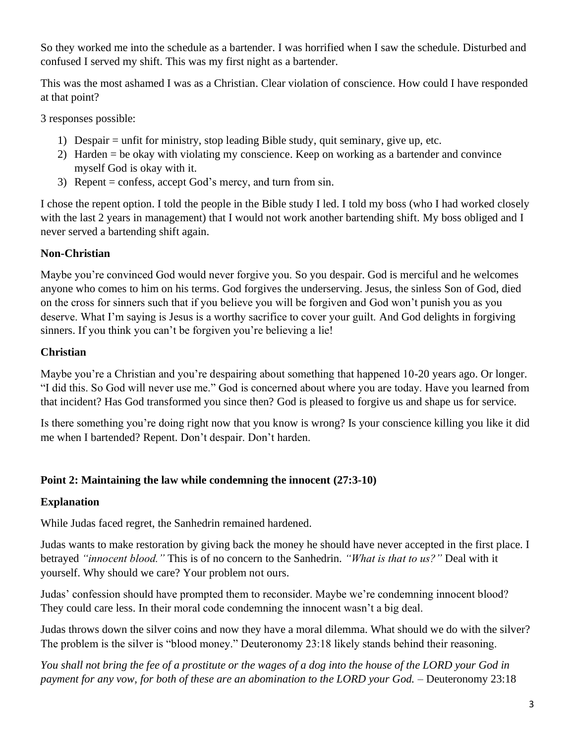So they worked me into the schedule as a bartender. I was horrified when I saw the schedule. Disturbed and confused I served my shift. This was my first night as a bartender.

This was the most ashamed I was as a Christian. Clear violation of conscience. How could I have responded at that point?

3 responses possible:

- 1) Despair = unfit for ministry, stop leading Bible study, quit seminary, give up, etc.
- 2) Harden = be okay with violating my conscience. Keep on working as a bartender and convince myself God is okay with it.
- 3) Repent = confess, accept God's mercy, and turn from sin.

I chose the repent option. I told the people in the Bible study I led. I told my boss (who I had worked closely with the last 2 years in management) that I would not work another bartending shift. My boss obliged and I never served a bartending shift again.

## **Non-Christian**

Maybe you're convinced God would never forgive you. So you despair. God is merciful and he welcomes anyone who comes to him on his terms. God forgives the underserving. Jesus, the sinless Son of God, died on the cross for sinners such that if you believe you will be forgiven and God won't punish you as you deserve. What I'm saying is Jesus is a worthy sacrifice to cover your guilt. And God delights in forgiving sinners. If you think you can't be forgiven you're believing a lie!

## **Christian**

Maybe you're a Christian and you're despairing about something that happened 10-20 years ago. Or longer. "I did this. So God will never use me." God is concerned about where you are today. Have you learned from that incident? Has God transformed you since then? God is pleased to forgive us and shape us for service.

Is there something you're doing right now that you know is wrong? Is your conscience killing you like it did me when I bartended? Repent. Don't despair. Don't harden.

## **Point 2: Maintaining the law while condemning the innocent (27:3-10)**

## **Explanation**

While Judas faced regret, the Sanhedrin remained hardened.

Judas wants to make restoration by giving back the money he should have never accepted in the first place. I betrayed *"innocent blood."* This is of no concern to the Sanhedrin. *"What is that to us?"* Deal with it yourself. Why should we care? Your problem not ours.

Judas' confession should have prompted them to reconsider. Maybe we're condemning innocent blood? They could care less. In their moral code condemning the innocent wasn't a big deal.

Judas throws down the silver coins and now they have a moral dilemma. What should we do with the silver? The problem is the silver is "blood money." Deuteronomy 23:18 likely stands behind their reasoning.

*You shall not bring the fee of a prostitute or the wages of a dog into the house of the LORD your God in payment for any vow, for both of these are an abomination to the LORD your God.* – Deuteronomy 23:18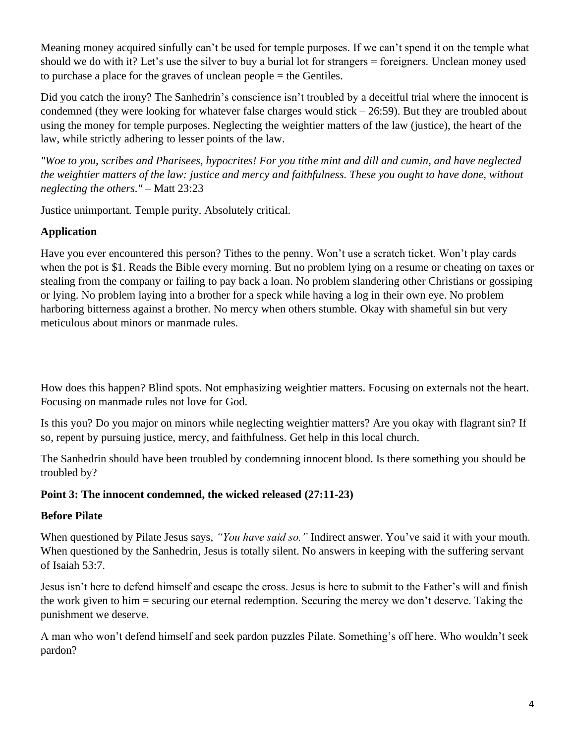Meaning money acquired sinfully can't be used for temple purposes. If we can't spend it on the temple what should we do with it? Let's use the silver to buy a burial lot for strangers = foreigners. Unclean money used to purchase a place for the graves of unclean people = the Gentiles.

Did you catch the irony? The Sanhedrin's conscience isn't troubled by a deceitful trial where the innocent is condemned (they were looking for whatever false charges would stick – 26:59). But they are troubled about using the money for temple purposes. Neglecting the weightier matters of the law (justice), the heart of the law, while strictly adhering to lesser points of the law.

*"Woe to you, scribes and Pharisees, hypocrites! For you tithe mint and dill and cumin, and have neglected the weightier matters of the law: justice and mercy and faithfulness. These you ought to have done, without neglecting the others."* – Matt 23:23

Justice unimportant. Temple purity. Absolutely critical.

# **Application**

Have you ever encountered this person? Tithes to the penny. Won't use a scratch ticket. Won't play cards when the pot is \$1. Reads the Bible every morning. But no problem lying on a resume or cheating on taxes or stealing from the company or failing to pay back a loan. No problem slandering other Christians or gossiping or lying. No problem laying into a brother for a speck while having a log in their own eye. No problem harboring bitterness against a brother. No mercy when others stumble. Okay with shameful sin but very meticulous about minors or manmade rules.

How does this happen? Blind spots. Not emphasizing weightier matters. Focusing on externals not the heart. Focusing on manmade rules not love for God.

Is this you? Do you major on minors while neglecting weightier matters? Are you okay with flagrant sin? If so, repent by pursuing justice, mercy, and faithfulness. Get help in this local church.

The Sanhedrin should have been troubled by condemning innocent blood. Is there something you should be troubled by?

## **Point 3: The innocent condemned, the wicked released (27:11-23)**

## **Before Pilate**

When questioned by Pilate Jesus says, *"You have said so."* Indirect answer. You've said it with your mouth. When questioned by the Sanhedrin, Jesus is totally silent. No answers in keeping with the suffering servant of Isaiah 53:7.

Jesus isn't here to defend himself and escape the cross. Jesus is here to submit to the Father's will and finish the work given to him = securing our eternal redemption. Securing the mercy we don't deserve. Taking the punishment we deserve.

A man who won't defend himself and seek pardon puzzles Pilate. Something's off here. Who wouldn't seek pardon?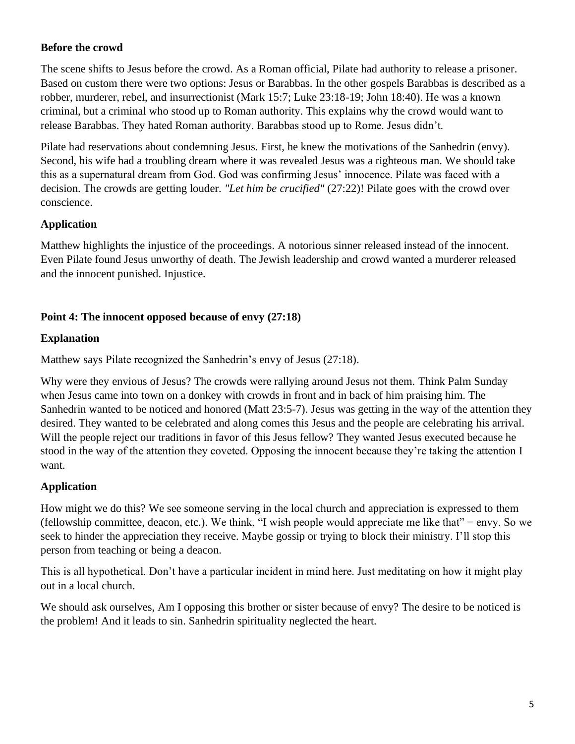## **Before the crowd**

The scene shifts to Jesus before the crowd. As a Roman official, Pilate had authority to release a prisoner. Based on custom there were two options: Jesus or Barabbas. In the other gospels Barabbas is described as a robber, murderer, rebel, and insurrectionist (Mark 15:7; Luke 23:18-19; John 18:40). He was a known criminal, but a criminal who stood up to Roman authority. This explains why the crowd would want to release Barabbas. They hated Roman authority. Barabbas stood up to Rome. Jesus didn't.

Pilate had reservations about condemning Jesus. First, he knew the motivations of the Sanhedrin (envy). Second, his wife had a troubling dream where it was revealed Jesus was a righteous man. We should take this as a supernatural dream from God. God was confirming Jesus' innocence. Pilate was faced with a decision. The crowds are getting louder. *"Let him be crucified"* (27:22)! Pilate goes with the crowd over conscience.

### **Application**

Matthew highlights the injustice of the proceedings. A notorious sinner released instead of the innocent. Even Pilate found Jesus unworthy of death. The Jewish leadership and crowd wanted a murderer released and the innocent punished. Injustice.

### **Point 4: The innocent opposed because of envy (27:18)**

### **Explanation**

Matthew says Pilate recognized the Sanhedrin's envy of Jesus (27:18).

Why were they envious of Jesus? The crowds were rallying around Jesus not them. Think Palm Sunday when Jesus came into town on a donkey with crowds in front and in back of him praising him. The Sanhedrin wanted to be noticed and honored (Matt 23:5-7). Jesus was getting in the way of the attention they desired. They wanted to be celebrated and along comes this Jesus and the people are celebrating his arrival. Will the people reject our traditions in favor of this Jesus fellow? They wanted Jesus executed because he stood in the way of the attention they coveted. Opposing the innocent because they're taking the attention I want.

## **Application**

How might we do this? We see someone serving in the local church and appreciation is expressed to them (fellowship committee, deacon, etc.). We think, "I wish people would appreciate me like that" = envy. So we seek to hinder the appreciation they receive. Maybe gossip or trying to block their ministry. I'll stop this person from teaching or being a deacon.

This is all hypothetical. Don't have a particular incident in mind here. Just meditating on how it might play out in a local church.

We should ask ourselves, Am I opposing this brother or sister because of envy? The desire to be noticed is the problem! And it leads to sin. Sanhedrin spirituality neglected the heart.